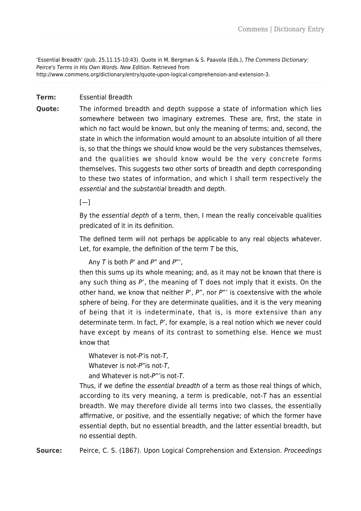'Essential Breadth' (pub. 25.11.15-10:43). Quote in M. Bergman & S. Paavola (Eds.), The Commens Dictionary: Peirce's Terms in His Own Words. New Edition. Retrieved from http://www.commens.org/dictionary/entry/quote-upon-logical-comprehension-and-extension-3.

## **Term:** Essential Breadth

**Quote:** The informed breadth and depth suppose a state of information which lies somewhere between two imaginary extremes. These are, first, the state in which no fact would be known, but only the meaning of terms; and, second, the state in which the information would amount to an absolute intuition of all there is, so that the things we should know would be the very substances themselves, and the qualities we should know would be the very concrete forms themselves. This suggests two other sorts of breadth and depth corresponding to these two states of information, and which I shall term respectively the essential and the substantial breadth and depth.

 $[-]$ 

By the essential depth of a term, then, I mean the really conceivable qualities predicated of it in its definition.

The defined term will not perhaps be applicable to any real objects whatever. Let, for example, the definition of the term  $T$  be this,

Any  $T$  is both  $P'$  and  $P''$  and  $P''$ ,

then this sums up its whole meaning; and, as it may not be known that there is any such thing as  $P'$ , the meaning of T does not imply that it exists. On the other hand, we know that neither  $P'$ ,  $P''$ , nor  $P'''$  is coextensive with the whole sphere of being. For they are determinate qualities, and it is the very meaning of being that it is indeterminate, that is, is more extensive than any determinate term. In fact, P', for example, is a real notion which we never could have except by means of its contrast to something else. Hence we must know that

Whatever is not-P'is not-T.

Whatever is not-P"is not-T.

and Whatever is not-P"'is not-T.

Thus, if we define the essential breadth of a term as those real things of which, according to its very meaning, a term is predicable, not-T has an essential breadth. We may therefore divide all terms into two classes, the essentially affirmative, or positive, and the essentially negative; of which the former have essential depth, but no essential breadth, and the latter essential breadth, but no essential depth.

**Source:** Peirce, C. S. (1867). Upon Logical Comprehension and Extension. Proceedings